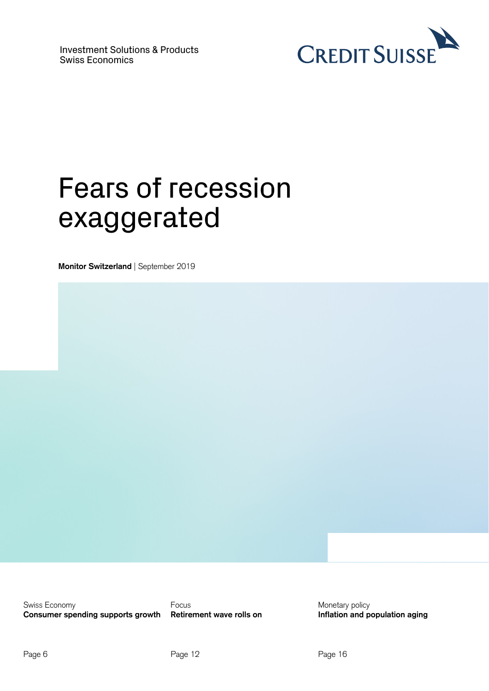

# Fears of recession exaggerated

**Monitor Switzerland** | September 2019

Swiss Economy **Consumer spending supports growth** 

Focus **Retirement wave rolls on**  Monetary policy **Inflation and population aging**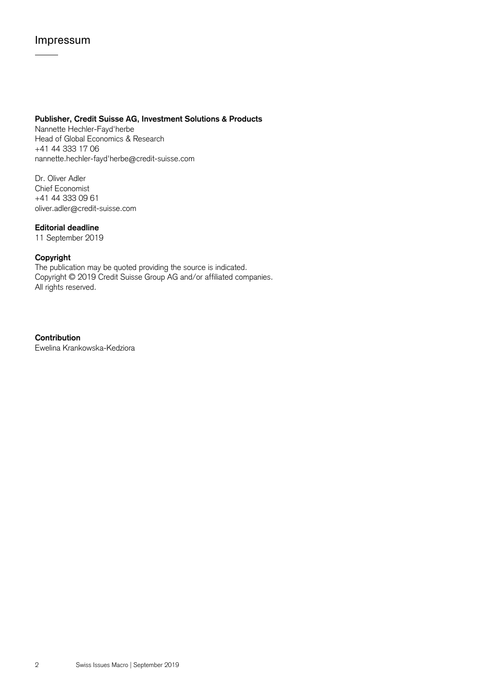## Impressum

### **Publisher, Credit Suisse AG, Investment Solutions & Products**

Nannette Hechler-Fayd'herbe Head of Global Economics & Research +41 44 333 17 06 nannette.hechler-fayd'herbe@credit-suisse.com

Dr. Oliver Adler Chief Economist +41 44 333 09 61 oliver.adler@credit-suisse.com

### **Editorial deadline**

11 September 2019

### **Copyright**

The publication may be quoted providing the source is indicated. Copyright © 2019 Credit Suisse Group AG and/or affiliated companies. All rights reserved.

**Contribution** Ewelina Krankowska-Kedziora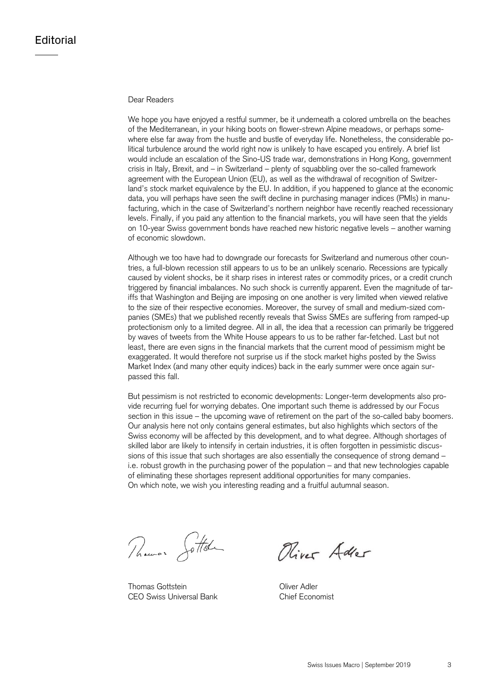### Dear Readers

We hope you have enjoyed a restful summer, be it underneath a colored umbrella on the beaches of the Mediterranean, in your hiking boots on flower-strewn Alpine meadows, or perhaps somewhere else far away from the hustle and bustle of everyday life. Nonetheless, the considerable political turbulence around the world right now is unlikely to have escaped you entirely. A brief list would include an escalation of the Sino-US trade war, demonstrations in Hong Kong, government crisis in Italy, Brexit, and – in Switzerland – plenty of squabbling over the so-called framework agreement with the European Union (EU), as well as the withdrawal of recognition of Switzerland's stock market equivalence by the EU. In addition, if you happened to glance at the economic data, you will perhaps have seen the swift decline in purchasing manager indices (PMIs) in manufacturing, which in the case of Switzerland's northern neighbor have recently reached recessionary levels. Finally, if you paid any attention to the financial markets, you will have seen that the yields on 10-year Swiss government bonds have reached new historic negative levels – another warning of economic slowdown.

Although we too have had to downgrade our forecasts for Switzerland and numerous other countries, a full-blown recession still appears to us to be an unlikely scenario. Recessions are typically caused by violent shocks, be it sharp rises in interest rates or commodity prices, or a credit crunch triggered by financial imbalances. No such shock is currently apparent. Even the magnitude of tariffs that Washington and Beijing are imposing on one another is very limited when viewed relative to the size of their respective economies. Moreover, the survey of small and medium-sized companies (SMEs) that we published recently reveals that Swiss SMEs are suffering from ramped-up protectionism only to a limited degree. All in all, the idea that a recession can primarily be triggered by waves of tweets from the White House appears to us to be rather far-fetched. Last but not least, there are even signs in the financial markets that the current mood of pessimism might be exaggerated. It would therefore not surprise us if the stock market highs posted by the Swiss Market Index (and many other equity indices) back in the early summer were once again surpassed this fall.

But pessimism is not restricted to economic developments: Longer-term developments also provide recurring fuel for worrying debates. One important such theme is addressed by our Focus section in this issue – the upcoming wave of retirement on the part of the so-called baby boomers. Our analysis here not only contains general estimates, but also highlights which sectors of the Swiss economy will be affected by this development, and to what degree. Although shortages of skilled labor are likely to intensify in certain industries, it is often forgotten in pessimistic discussions of this issue that such shortages are also essentially the consequence of strong demand – i.e. robust growth in the purchasing power of the population – and that new technologies capable of eliminating these shortages represent additional opportunities for many companies. On which note, we wish you interesting reading and a fruitful autumnal season.

Thomas Jottel

Thomas Gottstein **Contract Contract Contract Contract Contract Contract Contract Contract Contract Contract Contract Contract Contract Contract Contract Contract Contract Contract Contract Contract Contract Contract Contra** CEO Swiss Universal Bank Chief Economist

Oliver Adler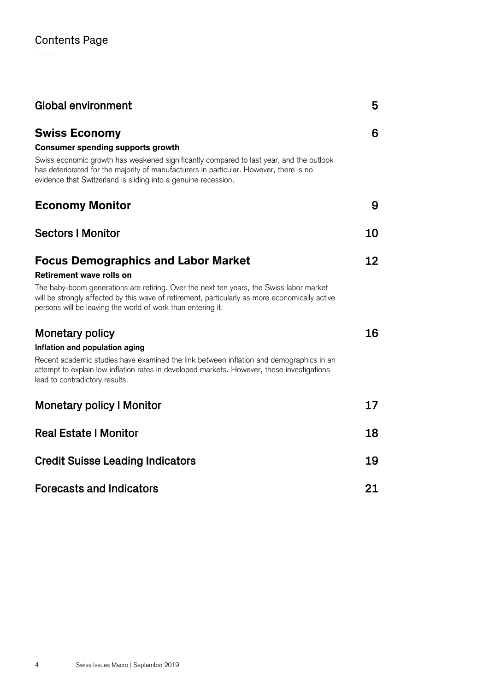| <b>Global environment</b>                                                                                                                                                                                                                                | 5  |
|----------------------------------------------------------------------------------------------------------------------------------------------------------------------------------------------------------------------------------------------------------|----|
| <b>Swiss Economy</b>                                                                                                                                                                                                                                     | 6  |
| <b>Consumer spending supports growth</b>                                                                                                                                                                                                                 |    |
| Swiss economic growth has weakened significantly compared to last year, and the outlook<br>has deteriorated for the majority of manufacturers in particular. However, there is no<br>evidence that Switzerland is sliding into a genuine recession.      |    |
| <b>Economy Monitor</b>                                                                                                                                                                                                                                   | 9  |
| <b>Sectors I Monitor</b>                                                                                                                                                                                                                                 | 10 |
| <b>Focus Demographics and Labor Market</b>                                                                                                                                                                                                               | 12 |
| <b>Retirement wave rolls on</b>                                                                                                                                                                                                                          |    |
| The baby-boom generations are retiring. Over the next ten years, the Swiss labor market<br>will be strongly affected by this wave of retirement, particularly as more economically active<br>persons will be leaving the world of work than entering it. |    |
| <b>Monetary policy</b>                                                                                                                                                                                                                                   | 16 |
| Inflation and population aging                                                                                                                                                                                                                           |    |
| Recent academic studies have examined the link between inflation and demographics in an<br>attempt to explain low inflation rates in developed markets. However, these investigations<br>lead to contradictory results.                                  |    |
| <b>Monetary policy I Monitor</b>                                                                                                                                                                                                                         | 17 |
| <b>Real Estate   Monitor</b>                                                                                                                                                                                                                             | 18 |
| <b>Credit Suisse Leading Indicators</b>                                                                                                                                                                                                                  | 19 |
| <b>Forecasts and Indicators</b>                                                                                                                                                                                                                          | 21 |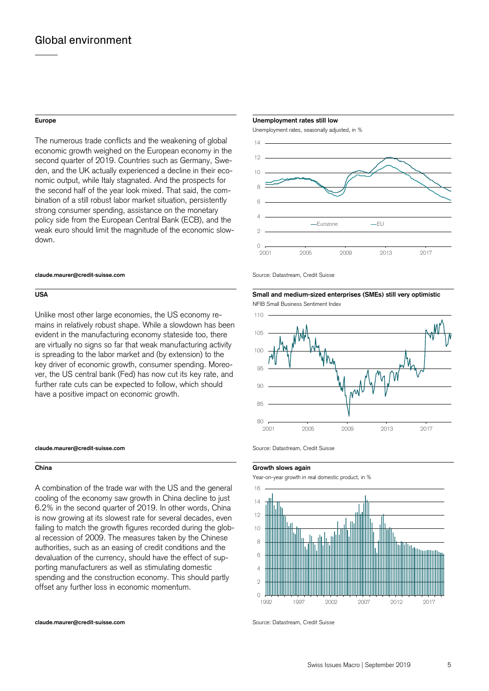The numerous trade conflicts and the weakening of global economic growth weighed on the European economy in the second quarter of 2019. Countries such as Germany, Sweden, and the UK actually experienced a decline in their economic output, while Italy stagnated. And the prospects for the second half of the year look mixed. That said, the combination of a still robust labor market situation, persistently strong consumer spending, assistance on the monetary policy side from the European Central Bank (ECB), and the weak euro should limit the magnitude of the economic slowdown.

### **claude.maurer@credit-suisse.com** Source: Datastream, Credit Suisse

Unlike most other large economies, the US economy remains in relatively robust shape. While a slowdown has been evident in the manufacturing economy stateside too, there are virtually no signs so far that weak manufacturing activity is spreading to the labor market and (by extension) to the key driver of economic growth, consumer spending. Moreover, the US central bank (Fed) has now cut its key rate, and further rate cuts can be expected to follow, which should have a positive impact on economic growth.

### **claude.maurer@credit-suisse.com Source: Datastream, Credit Suisse claude.maurer@credit-suisse.com Source: Datastream, Credit Suisse**

A combination of the trade war with the US and the general cooling of the economy saw growth in China decline to just 6.2% in the second quarter of 2019. In other words, China is now growing at its slowest rate for several decades, even failing to match the growth figures recorded during the global recession of 2009. The measures taken by the Chinese authorities, such as an easing of credit conditions and the devaluation of the currency, should have the effect of supporting manufacturers as well as stimulating domestic spending and the construction economy. This should partly offset any further loss in economic momentum.

**Europe Unemployment rates still low** 

Unemployment rates, seasonally adjusted, in %



**USA Small and medium-sized enterprises (SMEs) still very optimistic** 





### **China Growth slows again**

Year-on-year growth in real domestic product, in %



**claude.maurer@credit-suisse.com Source: Datastream, Credit Suisse** com

NFIB Small Business Sentiment Index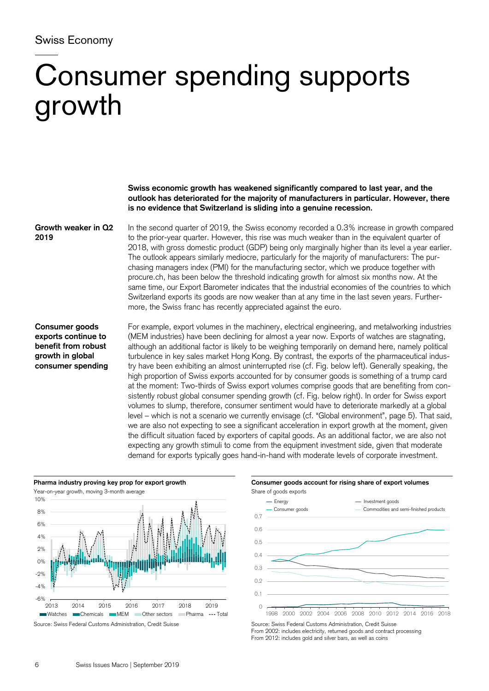## Swiss Economy

# Consumer spending supports growth

**Swiss economic growth has weakened significantly compared to last year, and the outlook has deteriorated for the majority of manufacturers in particular. However, there is no evidence that Switzerland is sliding into a genuine recession.** 

**Growth weaker in Q2 2019** 

In the second quarter of 2019, the Swiss economy recorded a 0.3% increase in growth compared to the prior-year quarter. However, this rise was much weaker than in the equivalent quarter of 2018, with gross domestic product (GDP) being only marginally higher than its level a year earlier. The outlook appears similarly mediocre, particularly for the majority of manufacturers: The purchasing managers index (PMI) for the manufacturing sector, which we produce together with procure.ch, has been below the threshold indicating growth for almost six months now. At the same time, our Export Barometer indicates that the industrial economies of the countries to which Switzerland exports its goods are now weaker than at any time in the last seven years. Furthermore, the Swiss franc has recently appreciated against the euro.

### **Consumer goods exports continue to benefit from robust growth in global consumer spending**

For example, export volumes in the machinery, electrical engineering, and metalworking industries (MEM industries) have been declining for almost a year now. Exports of watches are stagnating, although an additional factor is likely to be weighing temporarily on demand here, namely political turbulence in key sales market Hong Kong. By contrast, the exports of the pharmaceutical industry have been exhibiting an almost uninterrupted rise (cf. Fig. below left). Generally speaking, the high proportion of Swiss exports accounted for by consumer goods is something of a trump card at the moment: Two-thirds of Swiss export volumes comprise goods that are benefiting from consistently robust global consumer spending growth (cf. Fig. below right). In order for Swiss export volumes to slump, therefore, consumer sentiment would have to deteriorate markedly at a global level – which is not a scenario we currently envisage (cf. "Global environment", page 5). That said, we are also not expecting to see a significant acceleration in export growth at the moment, given the difficult situation faced by exporters of capital goods. As an additional factor, we are also not expecting any growth stimuli to come from the equipment investment side, given that moderate demand for exports typically goes hand-in-hand with moderate levels of corporate investment.





From 2002: includes electricity, returned goods and contract processing From 2012: includes gold and silver bars, as well as coins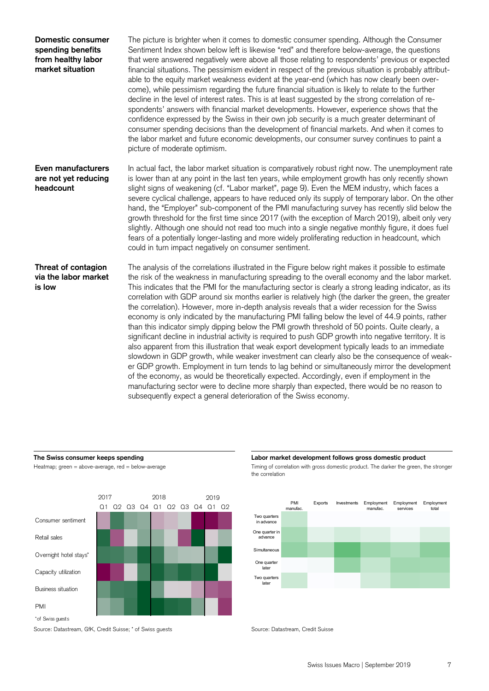| Domestic consumer<br>spending benefits<br>from healthy labor<br>market situation | The picture is brighter when it comes to domestic consumer spending. Although the Consumer<br>Sentiment Index shown below left is likewise "red" and therefore below-average, the questions<br>that were answered negatively were above all those relating to respondents' previous or expected<br>financial situations. The pessimism evident in respect of the previous situation is probably attribut-<br>able to the equity market weakness evident at the year-end (which has now clearly been over-<br>come), while pessimism regarding the future financial situation is likely to relate to the further<br>decline in the level of interest rates. This is at least suggested by the strong correlation of re-<br>spondents' answers with financial market developments. However, experience shows that the<br>confidence expressed by the Swiss in their own job security is a much greater determinant of<br>consumer spending decisions than the development of financial markets. And when it comes to<br>the labor market and future economic developments, our consumer survey continues to paint a<br>picture of moderate optimism.                                                                                                                                                                                                                                                                          |
|----------------------------------------------------------------------------------|-----------------------------------------------------------------------------------------------------------------------------------------------------------------------------------------------------------------------------------------------------------------------------------------------------------------------------------------------------------------------------------------------------------------------------------------------------------------------------------------------------------------------------------------------------------------------------------------------------------------------------------------------------------------------------------------------------------------------------------------------------------------------------------------------------------------------------------------------------------------------------------------------------------------------------------------------------------------------------------------------------------------------------------------------------------------------------------------------------------------------------------------------------------------------------------------------------------------------------------------------------------------------------------------------------------------------------------------------------------------------------------------------------------------------------|
| Even manufacturers<br>are not yet reducing<br>headcount                          | In actual fact, the labor market situation is comparatively robust right now. The unemployment rate<br>is lower than at any point in the last ten years, while employment growth has only recently shown<br>slight signs of weakening (cf. "Labor market", page 9). Even the MEM industry, which faces a<br>severe cyclical challenge, appears to have reduced only its supply of temporary labor. On the other<br>hand, the "Employer" sub-component of the PMI manufacturing survey has recently slid below the<br>growth threshold for the first time since 2017 (with the exception of March 2019), albeit only very<br>slightly. Although one should not read too much into a single negative monthly figure, it does fuel<br>fears of a potentially longer-lasting and more widely proliferating reduction in headcount, which<br>could in turn impact negatively on consumer sentiment.                                                                                                                                                                                                                                                                                                                                                                                                                                                                                                                              |
| Threat of contagion<br>via the labor market<br>is low                            | The analysis of the correlations illustrated in the Figure below right makes it possible to estimate<br>the risk of the weakness in manufacturing spreading to the overall economy and the labor market.<br>This indicates that the PMI for the manufacturing sector is clearly a strong leading indicator, as its<br>correlation with GDP around six months earlier is relatively high (the darker the green, the greater<br>the correlation). However, more in-depth analysis reveals that a wider recession for the Swiss<br>economy is only indicated by the manufacturing PMI falling below the level of 44.9 points, rather<br>than this indicator simply dipping below the PMI growth threshold of 50 points. Quite clearly, a<br>significant decline in industrial activity is required to push GDP growth into negative territory. It is<br>also apparent from this illustration that weak export development typically leads to an immediate<br>slowdown in GDP growth, while weaker investment can clearly also be the consequence of weak-<br>er GDP growth. Employment in turn tends to lag behind or simultaneously mirror the development<br>of the economy, as would be theoretically expected. Accordingly, even if employment in the<br>manufacturing sector were to decline more sharply than expected, there would be no reason to<br>subsequently expect a general deterioration of the Swiss economy. |



Source: Datastream, GfK, Credit Suisse; \* of Swiss guests Source: Datastream, Credit Suisse

### **The Swiss consumer keeps spending Labor market development follows gross domestic product**

Heatmap; green = above-average, red = below-average Timing of correlation with gross domestic product. The darker the green, the stronger the correlation

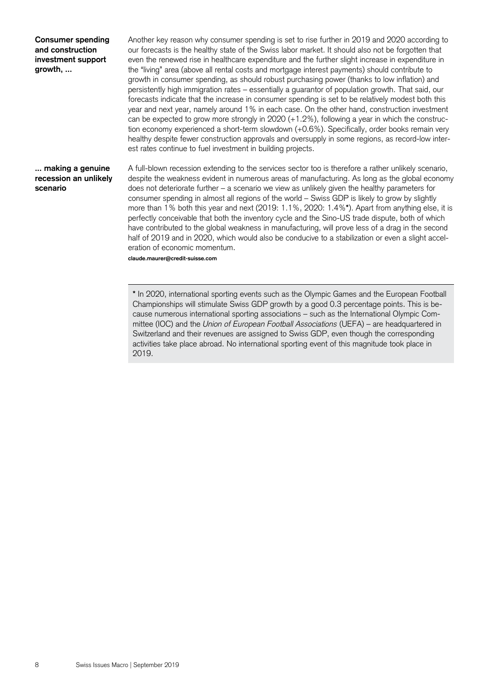**Consumer spending and construction investment support growth, ...** 

Another key reason why consumer spending is set to rise further in 2019 and 2020 according to our forecasts is the healthy state of the Swiss labor market. It should also not be forgotten that even the renewed rise in healthcare expenditure and the further slight increase in expenditure in the "living" area (above all rental costs and mortgage interest payments) should contribute to growth in consumer spending, as should robust purchasing power (thanks to low inflation) and persistently high immigration rates – essentially a guarantor of population growth. That said, our forecasts indicate that the increase in consumer spending is set to be relatively modest both this year and next year, namely around 1% in each case. On the other hand, construction investment can be expected to grow more strongly in 2020 (+1.2%), following a year in which the construction economy experienced a short-term slowdown (+0.6%). Specifically, order books remain very healthy despite fewer construction approvals and oversupply in some regions, as record-low interest rates continue to fuel investment in building projects.

### **... making a genuine recession an unlikely scenario**

A full-blown recession extending to the services sector too is therefore a rather unlikely scenario, despite the weakness evident in numerous areas of manufacturing. As long as the global economy does not deteriorate further – a scenario we view as unlikely given the healthy parameters for consumer spending in almost all regions of the world – Swiss GDP is likely to grow by slightly more than 1% both this year and next (2019: 1.1%, 2020: 1.4%**\***). Apart from anything else, it is perfectly conceivable that both the inventory cycle and the Sino-US trade dispute, both of which have contributed to the global weakness in manufacturing, will prove less of a drag in the second half of 2019 and in 2020, which would also be conducive to a stabilization or even a slight acceleration of economic momentum.

**claude.maurer@credit-suisse.com** 

**\*** In 2020, international sporting events such as the Olympic Games and the European Football Championships will stimulate Swiss GDP growth by a good 0.3 percentage points. This is because numerous international sporting associations – such as the International Olympic Committee (IOC) and the *Union of European Football Associations* (UEFA) – are headquartered in Switzerland and their revenues are assigned to Swiss GDP, even though the corresponding activities take place abroad. No international sporting event of this magnitude took place in 2019.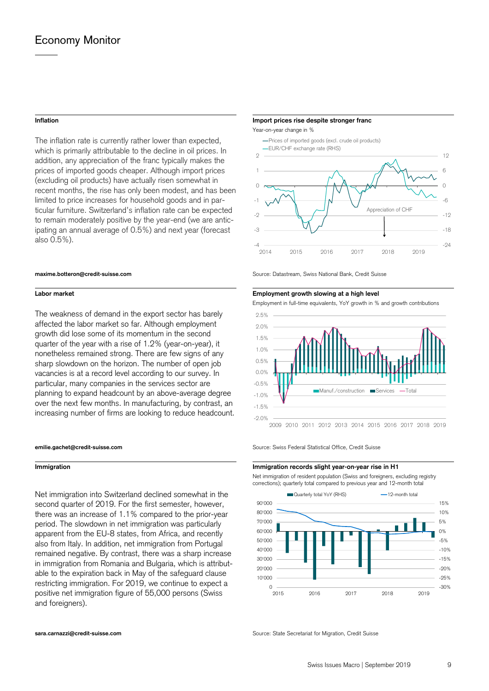The inflation rate is currently rather lower than expected, which is primarily attributable to the decline in oil prices. In addition, any appreciation of the franc typically makes the prices of imported goods cheaper. Although import prices (excluding oil products) have actually risen somewhat in recent months, the rise has only been modest, and has been limited to price increases for household goods and in particular furniture. Switzerland's inflation rate can be expected to remain moderately positive by the year-end (we are anticipating an annual average of 0.5%) and next year (forecast also 0.5%).

The weakness of demand in the export sector has barely affected the labor market so far. Although employment growth did lose some of its momentum in the second quarter of the year with a rise of 1.2% (year-on-year), it nonetheless remained strong. There are few signs of any sharp slowdown on the horizon. The number of open job vacancies is at a record level according to our survey. In particular, many companies in the services sector are planning to expand headcount by an above-average degree over the next few months. In manufacturing, by contrast, an increasing number of firms are looking to reduce headcount.

Net immigration into Switzerland declined somewhat in the second quarter of 2019. For the first semester, however, there was an increase of 1.1% compared to the prior-year period. The slowdown in net immigration was particularly apparent from the EU-8 states, from Africa, and recently also from Italy. In addition, net immigration from Portugal remained negative. By contrast, there was a sharp increase in immigration from Romania and Bulgaria, which is attributable to the expiration back in May of the safeguard clause restricting immigration. For 2019, we continue to expect a positive net immigration figure of 55,000 persons (Swiss and foreigners).

### **Inflation Import prices rise despite stronger franc**

Year-on-year change in %



**maxime.botteron@credit-suisse.com** Source: Datastream, Swiss National Bank, Credit Suisse

### **Labor market Employment growth slowing at a high level**

Employment in full-time equivalents, YoY growth in % and growth contributions



**emilie.gachet@credit-suisse.com** Source: Swiss Federal Statistical Office. Credit Suisse

### **Immigration Immigration** *Immigration**Immigration**immigration**immigration**immigration**immigration**immigration*

 Net immigration of resident population (Swiss and foreigners, excluding registry corrections); quarterly total compared to previous year and 12-month total



**sara.carnazzi@credit-suisse.com** Source: State Secretariat for Migration, Credit Suisse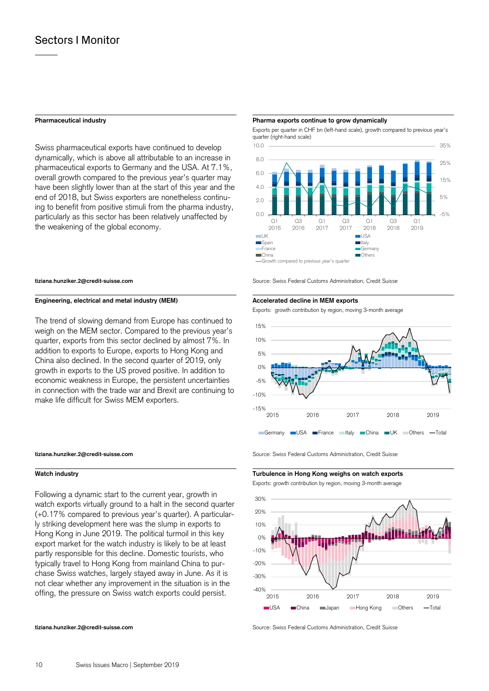Swiss pharmaceutical exports have continued to develop dynamically, which is above all attributable to an increase in pharmaceutical exports to Germany and the USA. At 7.1%, overall growth compared to the previous year's quarter may have been slightly lower than at the start of this year and the end of 2018, but Swiss exporters are nonetheless continuing to benefit from positive stimuli from the pharma industry, particularly as this sector has been relatively unaffected by the weakening of the global economy.

### **Engineering, electrical and metal industry (MEM)** Accelerated decline in MEM exports

The trend of slowing demand from Europe has continued to weigh on the MEM sector. Compared to the previous year's quarter, exports from this sector declined by almost 7%. In addition to exports to Europe, exports to Hong Kong and China also declined. In the second quarter of 2019, only growth in exports to the US proved positive. In addition to economic weakness in Europe, the persistent uncertainties in connection with the trade war and Brexit are continuing to make life difficult for Swiss MEM exporters.

Following a dynamic start to the current year, growth in watch exports virtually ground to a halt in the second quarter (+0.17% compared to previous year's quarter). A particularly striking development here was the slump in exports to Hong Kong in June 2019. The political turmoil in this key export market for the watch industry is likely to be at least partly responsible for this decline. Domestic tourists, who typically travel to Hong Kong from mainland China to purchase Swiss watches, largely stayed away in June. As it is not clear whether any improvement in the situation is in the offing, the pressure on Swiss watch exports could persist.

### **Pharmaceutical industry Pharma exports continue to grow dynamically**

 Exports per quarter in CHF bn (left-hand scale), growth compared to previous year's quarter (right-hand scale)



Growth compared to previous year's quarter

**tiziana.hunziker.2@credit-suisse.com** Source: Swiss Federal Customs Administration, Credit Suisse

Exports: growth contribution by region, moving 3-month average



**tiziana.hunziker.2@credit-suisse.com** Source: Swiss Federal Customs Administration, Credit Suisse

**Watch industry Turbulence in Hong Kong weighs on watch exports** 

Exports: growth contribution by region, moving 3-month average



**tiziana.hunziker.2@credit-suisse.com** Source: Swiss Federal Customs Administration, Credit Suisse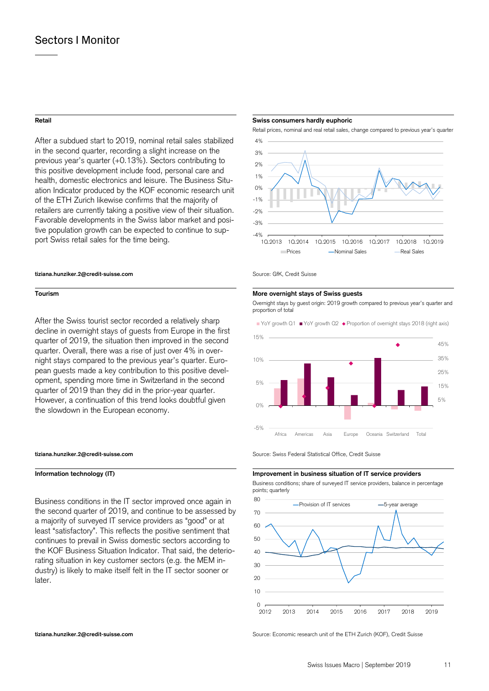After a subdued start to 2019, nominal retail sales stabilized in the second quarter, recording a slight increase on the previous year's quarter (+0.13%). Sectors contributing to this positive development include food, personal care and health, domestic electronics and leisure. The Business Situation Indicator produced by the KOF economic research unit of the ETH Zurich likewise confirms that the majority of retailers are currently taking a positive view of their situation. Favorable developments in the Swiss labor market and positive population growth can be expected to continue to support Swiss retail sales for the time being.

### **tiziana.hunziker.2@credit-suisse.com** Source: GfK, Credit Suisse

After the Swiss tourist sector recorded a relatively sharp decline in overnight stays of guests from Europe in the first quarter of 2019, the situation then improved in the second quarter. Overall, there was a rise of just over 4% in overnight stays compared to the previous year's quarter. European guests made a key contribution to this positive development, spending more time in Switzerland in the second quarter of 2019 than they did in the prior-year quarter. However, a continuation of this trend looks doubtful given the slowdown in the European economy.

Business conditions in the IT sector improved once again in the second quarter of 2019, and continue to be assessed by a majority of surveyed IT service providers as "good" or at least "satisfactory". This reflects the positive sentiment that continues to prevail in Swiss domestic sectors according to the KOF Business Situation Indicator. That said, the deteriorating situation in key customer sectors (e.g. the MEM industry) is likely to make itself felt in the IT sector sooner or later.

### **Retail Swiss consumers hardly euphoric**

Retail prices, nominal and real retail sales, change compared to previous year's quarter



### **Tourism More overnight stays of Swiss guests**

 Overnight stays by guest origin: 2019 growth compared to previous year's quarter and proportion of total



**tiziana.hunziker.2@credit-suisse.com** Source: Swiss Federal Statistical Office, Credit Suisse

### **Information technology (IT)** Improvement in business situation of IT service providers

 Business conditions; share of surveyed IT service providers, balance in percentage points; quarterly



**tiziana.hunziker.2@credit-suisse.com** Source: Economic research unit of the ETH Zurich (KOF), Credit Suisse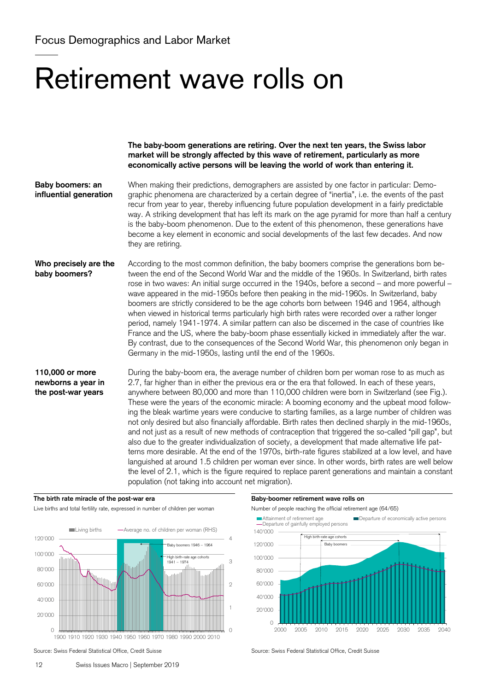# Retirement wave rolls on

**The baby-boom generations are retiring. Over the next ten years, the Swiss labor market will be strongly affected by this wave of retirement, particularly as more economically active persons will be leaving the world of work than entering it.** 

When making their predictions, demographers are assisted by one factor in particular: Demographic phenomena are characterized by a certain degree of "inertia", i.e. the events of the past recur from year to year, thereby influencing future population development in a fairly predictable way. A striking development that has left its mark on the age pyramid for more than half a century is the baby-boom phenomenon. Due to the extent of this phenomenon, these generations have become a key element in economic and social developments of the last few decades. And now they are retiring. **Baby boomers: an influential generation** 

According to the most common definition, the baby boomers comprise the generations born between the end of the Second World War and the middle of the 1960s. In Switzerland, birth rates rose in two waves: An initial surge occurred in the 1940s, before a second – and more powerful – wave appeared in the mid-1950s before then peaking in the mid-1960s. In Switzerland, baby boomers are strictly considered to be the age cohorts born between 1946 and 1964, although when viewed in historical terms particularly high birth rates were recorded over a rather longer period, namely 1941-1974. A similar pattern can also be discerned in the case of countries like France and the US, where the baby-boom phase essentially kicked in immediately after the war. By contrast, due to the consequences of the Second World War, this phenomenon only began in Germany in the mid-1950s, lasting until the end of the 1960s. **Who precisely are the baby boomers?** 

During the baby-boom era, the average number of children born per woman rose to as much as 2.7, far higher than in either the previous era or the era that followed. In each of these years, anywhere between 80,000 and more than 110,000 children were born in Switzerland (see Fig.). These were the years of the economic miracle: A booming economy and the upbeat mood following the bleak wartime years were conducive to starting families, as a large number of children was not only desired but also financially affordable. Birth rates then declined sharply in the mid-1960s, and not just as a result of new methods of contraception that triggered the so-called "pill gap", but also due to the greater individualization of society, a development that made alternative life patterns more desirable. At the end of the 1970s, birth-rate figures stabilized at a low level, and have languished at around 1.5 children per woman ever since. In other words, birth rates are well below the level of 2.1, which is the figure required to replace parent generations and maintain a constant population (not taking into account net migration). **110,000 or more newborns a year in the post-war years** 

### The birth rate miracle of the post-war era **Baby-boomer retirement wave rolls on Baby-boomer retirement wave rolls on**

Live births and total fertility rate, expressed in number of children per woman Number of people reaching the official retirement age (64/65)





Source: Swiss Federal Statistical Office, Credit Suisse Source: Swiss Federal Statistical Office, Credit Suisse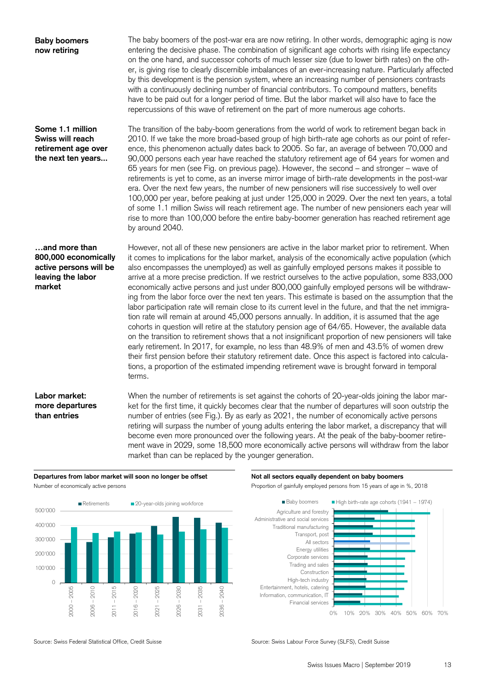| <b>Baby boomers</b><br>now retiring                                                            | The baby boomers of the post-war era are now retiring. In other words, demographic aging is now<br>entering the decisive phase. The combination of significant age cohorts with rising life expectancy<br>on the one hand, and successor cohorts of much lesser size (due to lower birth rates) on the oth-<br>er, is giving rise to clearly discernible imbalances of an ever-increasing nature. Particularly affected<br>by this development is the pension system, where an increasing number of pensioners contrasts<br>with a continuously declining number of financial contributors. To compound matters, benefits<br>have to be paid out for a longer period of time. But the labor market will also have to face the<br>repercussions of this wave of retirement on the part of more numerous age cohorts.                                                                                                                                                                                                                                                                                                                                                                                                                                                                                                                                                         |
|------------------------------------------------------------------------------------------------|-----------------------------------------------------------------------------------------------------------------------------------------------------------------------------------------------------------------------------------------------------------------------------------------------------------------------------------------------------------------------------------------------------------------------------------------------------------------------------------------------------------------------------------------------------------------------------------------------------------------------------------------------------------------------------------------------------------------------------------------------------------------------------------------------------------------------------------------------------------------------------------------------------------------------------------------------------------------------------------------------------------------------------------------------------------------------------------------------------------------------------------------------------------------------------------------------------------------------------------------------------------------------------------------------------------------------------------------------------------------------------|
| Some 1.1 million<br>Swiss will reach<br>retirement age over<br>the next ten years              | The transition of the baby-boom generations from the world of work to retirement began back in<br>2010. If we take the more broad-based group of high birth-rate age cohorts as our point of refer-<br>ence, this phenomenon actually dates back to 2005. So far, an average of between 70,000 and<br>90,000 persons each year have reached the statutory retirement age of 64 years for women and<br>65 years for men (see Fig. on previous page). However, the second - and stronger - wave of<br>retirements is yet to come, as an inverse mirror image of birth-rate developments in the post-war<br>era. Over the next few years, the number of new pensioners will rise successively to well over<br>100,000 per year, before peaking at just under 125,000 in 2029. Over the next ten years, a total<br>of some 1.1 million Swiss will reach retirement age. The number of new pensioners each year will<br>rise to more than 100,000 before the entire baby-boomer generation has reached retirement age<br>by around 2040.                                                                                                                                                                                                                                                                                                                                         |
| and more than<br>800,000 economically<br>active persons will be<br>leaving the labor<br>market | However, not all of these new pensioners are active in the labor market prior to retirement. When<br>it comes to implications for the labor market, analysis of the economically active population (which<br>also encompasses the unemployed) as well as gainfully employed persons makes it possible to<br>arrive at a more precise prediction. If we restrict ourselves to the active population, some 833,000<br>economically active persons and just under 800,000 gainfully employed persons will be withdraw-<br>ing from the labor force over the next ten years. This estimate is based on the assumption that the<br>labor participation rate will remain close to its current level in the future, and that the net immigra-<br>tion rate will remain at around 45,000 persons annually. In addition, it is assumed that the age<br>cohorts in question will retire at the statutory pension age of 64/65. However, the available data<br>on the transition to retirement shows that a not insignificant proportion of new pensioners will take<br>early retirement. In 2017, for example, no less than 48.9% of men and 43.5% of women drew<br>their first pension before their statutory retirement date. Once this aspect is factored into calcula-<br>tions, a proportion of the estimated impending retirement wave is brought forward in temporal<br>terms. |
| Labor market:<br>more departures<br>than entries                                               | When the number of retirements is set against the cohorts of 20-year-olds joining the labor mar-<br>ket for the first time, it quickly becomes clear that the number of departures will soon outstrip the<br>number of entries (see Fig.). By as early as 2021, the number of economically active persons<br>retiring will surpass the number of young adults entering the labor market, a discrepancy that will<br>become even more pronounced over the following years. At the peak of the baby-boomer retire-<br>ment wave in 2029, some 18,500 more economically active persons will withdraw from the labor<br>market than can be replaced by the younger generation.                                                                                                                                                                                                                                                                                                                                                                                                                                                                                                                                                                                                                                                                                                  |





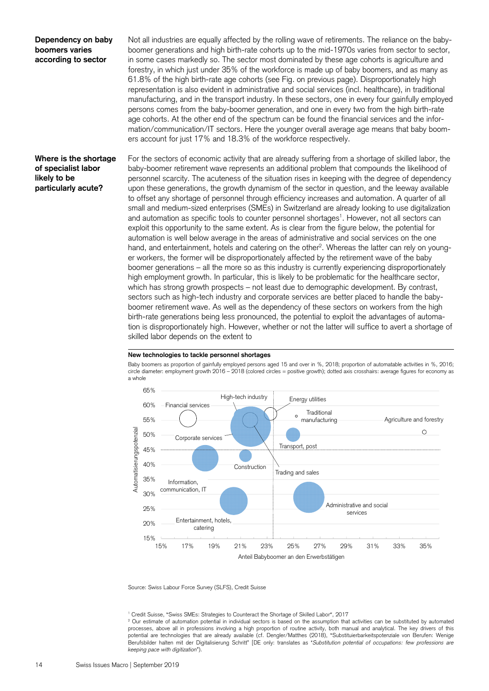### **Dependency on baby boomers varies according to sector**

Not all industries are equally affected by the rolling wave of retirements. The reliance on the babyboomer generations and high birth-rate cohorts up to the mid-1970s varies from sector to sector, in some cases markedly so. The sector most dominated by these age cohorts is agriculture and forestry, in which just under 35% of the workforce is made up of baby boomers, and as many as 61.8% of the high birth-rate age cohorts (see Fig. on previous page). Disproportionately high representation is also evident in administrative and social services (incl. healthcare), in traditional manufacturing, and in the transport industry. In these sectors, one in every four gainfully employed persons comes from the baby-boomer generation, and one in every two from the high birth-rate age cohorts. At the other end of the spectrum can be found the financial services and the information/communication/IT sectors. Here the younger overall average age means that baby boomers account for just 17% and 18.3% of the workforce respectively.

### **Where is the shortage of specialist labor likely to be particularly acute?**

For the sectors of economic activity that are already suffering from a shortage of skilled labor, the baby-boomer retirement wave represents an additional problem that compounds the likelihood of personnel scarcity. The acuteness of the situation rises in keeping with the degree of dependency upon these generations, the growth dynamism of the sector in question, and the leeway available to offset any shortage of personnel through efficiency increases and automation. A quarter of all small and medium-sized enterprises (SMEs) in Switzerland are already looking to use digitalization and automation as specific tools to counter personnel shortages<sup>1</sup>. However, not all sectors can exploit this opportunity to the same extent. As is clear from the figure below, the potential for automation is well below average in the areas of administrative and social services on the one hand, and entertainment, hotels and catering on the other<sup>2</sup>. Whereas the latter can rely on younger workers, the former will be disproportionately affected by the retirement wave of the baby boomer generations – all the more so as this industry is currently experiencing disproportionately high employment growth. In particular, this is likely to be problematic for the healthcare sector, which has strong growth prospects – not least due to demographic development. By contrast, sectors such as high-tech industry and corporate services are better placed to handle the babyboomer retirement wave. As well as the dependency of these sectors on workers from the high birth-rate generations being less pronounced, the potential to exploit the advantages of automation is disproportionately high. However, whether or not the latter will suffice to avert a shortage of skilled labor depends on the extent to



Baby boomers as proportion of gainfully employed persons aged 15 and over in %, 2018; proportion of automatable activities in %, 2016; circle diameter: employment growth 2016 – 2018 (colored circles = positive growth); dotted axis crosshairs: average figures for economy as a whole



Source: Swiss Labour Force Survey (SLFS), Credit Suisse

<sup>1</sup> Credit Suisse, "Swiss SMEs: Strategies to Counteract the Shortage of Skilled Labor", 2017<br><sup>2</sup> Our estimate of automation potential in individual sectors is based on the assumption that

<sup>&</sup>lt;sup>2</sup> Our estimate of automation potential in individual sectors is based on the assumption that activities can be substituted by automated processes, above all in professions involving a high proportion of routine activity, both manual and analytical. The key drivers of this potential are technologies that are already available (cf. Dengler/Matthes (2018), "Substituierbarkeitspotenziale von Berufen: Wenige Berufsbilder halten mit der Digitalisierung Schritt" [DE only: translates as "*Substitution potential of occupations: few professions are keeping pace with digitization*").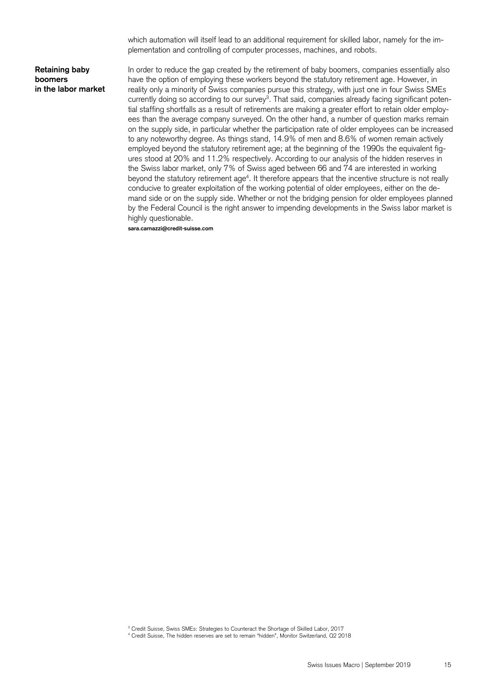which automation will itself lead to an additional requirement for skilled labor, namely for the implementation and controlling of computer processes, machines, and robots.

### **Retaining baby boomers in the labor market**

In order to reduce the gap created by the retirement of baby boomers, companies essentially also have the option of employing these workers beyond the statutory retirement age. However, in reality only a minority of Swiss companies pursue this strategy, with just one in four Swiss SMEs currently doing so according to our survey<sup>3</sup>. That said, companies already facing significant potential staffing shortfalls as a result of retirements are making a greater effort to retain older employees than the average company surveyed. On the other hand, a number of question marks remain on the supply side, in particular whether the participation rate of older employees can be increased to any noteworthy degree. As things stand, 14.9% of men and 8.6% of women remain actively employed beyond the statutory retirement age; at the beginning of the 1990s the equivalent figures stood at 20% and 11.2% respectively. According to our analysis of the hidden reserves in the Swiss labor market, only 7% of Swiss aged between 66 and 74 are interested in working beyond the statutory retirement age4 . It therefore appears that the incentive structure is not really conducive to greater exploitation of the working potential of older employees, either on the demand side or on the supply side. Whether or not the bridging pension for older employees planned by the Federal Council is the right answer to impending developments in the Swiss labor market is highly questionable.

**sara.carnazzi@credit-suisse.com** 

3 Credit Suisse, Swiss SMEs: Strategies to Counteract the Shortage of Skilled Labor, 2017

<sup>4</sup> Credit Suisse, The hidden reserves are set to remain "hidden", Monitor Switzerland, Q2 2018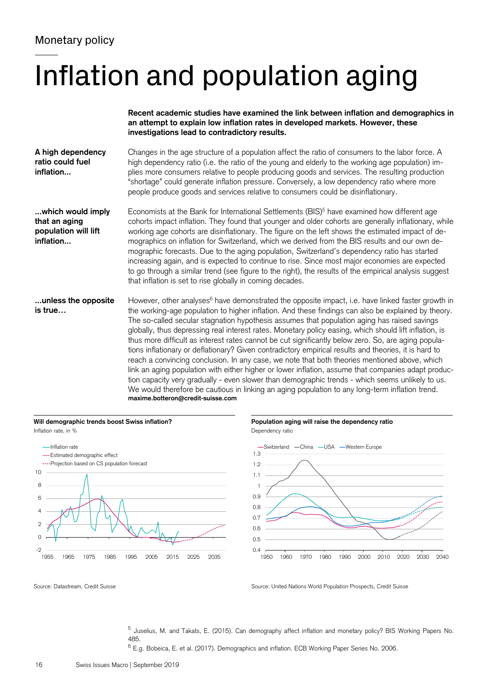# Inflation and population aging







<sup>5</sup> Juselius, M. and Takats, E. (2015). Can demography affect inflation and monetary policy? BIS Working Papers No. 485.

<sup>6</sup> E.g. Bobeica, E. et al. (2017). Demographics and inflation. ECB Working Paper Series No. 2006.

Source: Datastream, Credit Suisse Source: United Nations World Population Prospects, Credit Suisse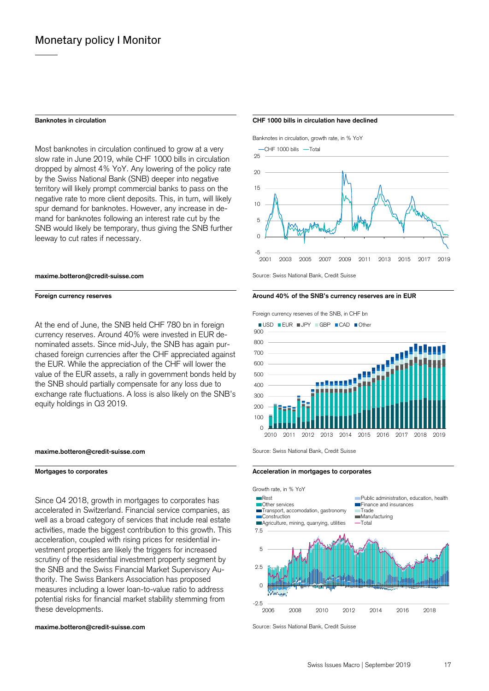Most banknotes in circulation continued to grow at a very slow rate in June 2019, while CHF 1000 bills in circulation dropped by almost 4% YoY. Any lowering of the policy rate by the Swiss National Bank (SNB) deeper into negative territory will likely prompt commercial banks to pass on the negative rate to more client deposits. This, in turn, will likely spur demand for banknotes. However, any increase in demand for banknotes following an interest rate cut by the SNB would likely be temporary, thus giving the SNB further leeway to cut rates if necessary.

### **maxime.botteron@credit-suisse.com** Source: Swiss National Bank, Credit Suisse

At the end of June, the SNB held CHF 780 bn in foreign currency reserves. Around 40% were invested in EUR denominated assets. Since mid-July, the SNB has again purchased foreign currencies after the CHF appreciated against the EUR. While the appreciation of the CHF will lower the value of the EUR assets, a rally in government bonds held by the SNB should partially compensate for any loss due to exchange rate fluctuations. A loss is also likely on the SNB's equity holdings in Q3 2019.

### **maxime.botteron@credit-suisse.com** Source: Swiss National Bank, Credit Suisse

Since Q4 2018, growth in mortgages to corporates has accelerated in Switzerland. Financial service companies, as well as a broad category of services that include real estate activities, made the biggest contribution to this growth. This acceleration, coupled with rising prices for residential investment properties are likely the triggers for increased scrutiny of the residential investment property segment by the SNB and the Swiss Financial Market Supervisory Authority. The Swiss Bankers Association has proposed measures including a lower loan-to-value ratio to address potential risks for financial market stability stemming from these developments.

### **maxime.botteron@credit-suisse.com** Source: Swiss National Bank, Credit Suisse

### **Banknotes in circulation CHF 1000 bills in circulation have declined**

Banknotes in circulation, growth rate, in % YoY





### Foreign currency reserves **Around 40% of the SNB's currency reserves are in EUR Foreign currency reserves**

Foreign currency reserves of the SNB, in CHF bn



### Mortgages to corporates **Acceleration in mortgages to corporates** Acceleration in mortgages to corporates

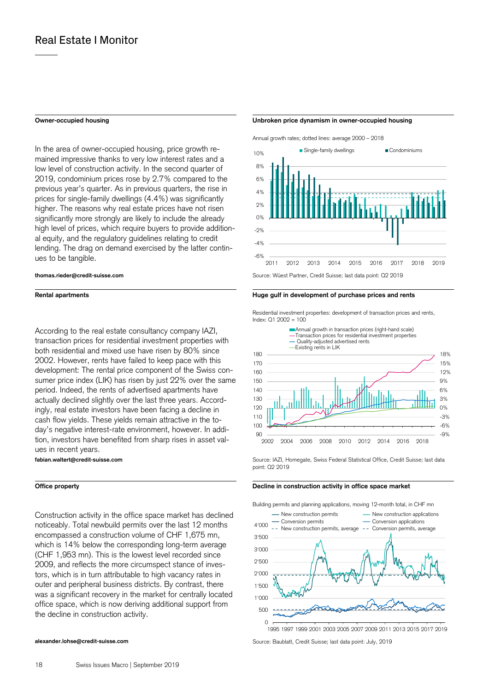In the area of owner-occupied housing, price growth remained impressive thanks to very low interest rates and a low level of construction activity. In the second quarter of 2019, condominium prices rose by 2.7% compared to the previous year's quarter. As in previous quarters, the rise in prices for single-family dwellings (4.4%) was significantly higher. The reasons why real estate prices have not risen significantly more strongly are likely to include the already high level of prices, which require buyers to provide additional equity, and the regulatory guidelines relating to credit lending. The drag on demand exercised by the latter continues to be tangible.

According to the real estate consultancy company IAZI, transaction prices for residential investment properties with both residential and mixed use have risen by 80% since 2002. However, rents have failed to keep pace with this development: The rental price component of the Swiss consumer price index (LIK) has risen by just 22% over the same period. Indeed, the rents of advertised apartments have actually declined slightly over the last three years. Accordingly, real estate investors have been facing a decline in cash flow yields. These yields remain attractive in the today's negative interest-rate environment, however. In addition, investors have benefited from sharp rises in asset values in recent years.

Construction activity in the office space market has declined noticeably. Total newbuild permits over the last 12 months encompassed a construction volume of CHF 1,675 mn, which is 14% below the corresponding long-term average (CHF 1,953 mn). This is the lowest level recorded since 2009, and reflects the more circumspect stance of investors, which is in turn attributable to high vacancy rates in outer and peripheral business districts. By contrast, there was a significant recovery in the market for centrally located office space, which is now deriving additional support from the decline in construction activity.

### **Owner-occupied housing Unbroken price dynamism in owner-occupied housing**

Annual growth rates; dotted lines: average 2000 – 2018



### **Rental apartments Huge gulf in development of purchase prices and rents**

 Residential investment properties: development of transaction prices and rents, Index: Q1 2002 = 100



**fabian.waltert@credit-suisse.com** Source: IAZI, Homegate, Swiss Federal Statistical Office, Credit Suisse; last data point: Q2 2019

### **Office property Decline in construction activity in office space market**  Decline in construction activity in office space market

Building permits and planning applications, moving 12-month total, in CHF mn



**alexander.lohse@credit-suisse.com** Source: Baublatt, Credit Suisse; last data point: July, 2019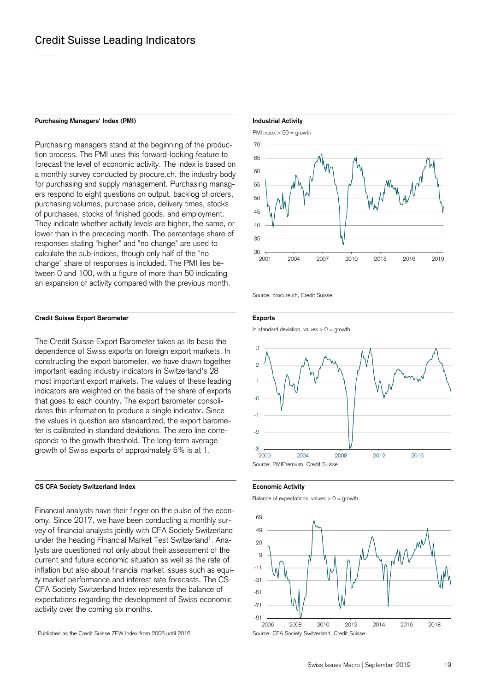### Purchasing Managers' Index (PMI) **Industrial Activity Industrial Activity**

Purchasing managers stand at the beginning of the production process. The PMI uses this forward-looking feature to forecast the level of economic activity. The index is based on a monthly survey conducted by procure.ch, the industry body for purchasing and supply management. Purchasing managers respond to eight questions on output, backlog of orders, purchasing volumes, purchase price, delivery times, stocks of purchases, stocks of finished goods, and employment. They indicate whether activity levels are higher, the same, or lower than in the preceding month. The percentage share of responses stating "higher" and "no change" are used to calculate the sub-indices, though only half of the "no change" share of responses is included. The PMI lies between 0 and 100, with a figure of more than 50 indicating an expansion of activity compared with the previous month.

### **Credit Suisse Export Barometer Exports**

The Credit Suisse Export Barometer takes as its basis the dependence of Swiss exports on foreign export markets. In constructing the export barometer, we have drawn together important leading industry indicators in Switzerland's 28 most important export markets. The values of these leading indicators are weighted on the basis of the share of exports that goes to each country. The export barometer consolidates this information to produce a single indicator. Since the values in question are standardized, the export barometer is calibrated in standard deviations. The zero line corresponds to the growth threshold. The long-term average growth of Swiss exports of approximately 5% is at 1.

### CS CFA Society Switzerland Index **Example 2018** Economic Activity

Financial analysts have their finger on the pulse of the economy. Since 2017, we have been conducting a monthly survey of financial analysts jointly with CFA Society Switzerland under the heading Financial Market Test Switzerland<sup>1</sup>. Analysts are questioned not only about their assessment of the current and future economic situation as well as the rate of inflation but also about financial market issues such as equity market performance and interest rate forecasts. The CS CFA Society Switzerland Index represents the balance of expectations regarding the development of Swiss economic activity over the coming six months.



Source: procure.ch, Credit Suisse

In standard deviation, values  $> 0 =$  growth





Balance of expectations, values  $> 0 =$  growth



<sup>&</sup>lt;sup>1</sup> Published as the Credit Suisse ZEW Index from 2006 until 2016 Source: CFA Society Switzerland, Credit Suisse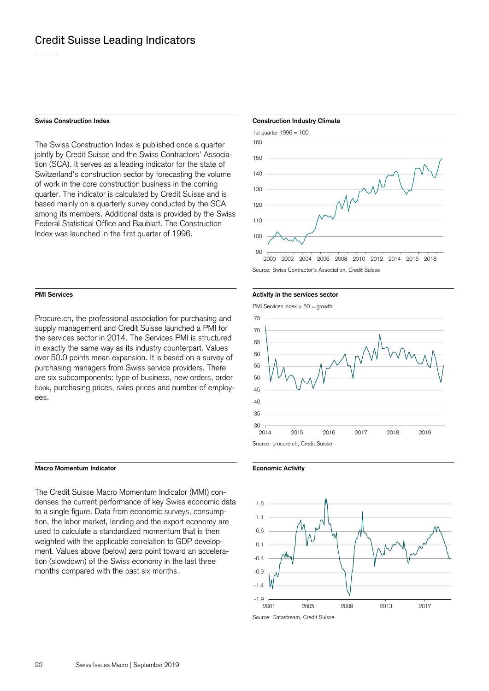The Swiss Construction Index is published once a quarter jointly by Credit Suisse and the Swiss Contractors' Association (SCA). It serves as a leading indicator for the state of Switzerland's construction sector by forecasting the volume of work in the core construction business in the coming quarter. The indicator is calculated by Credit Suisse and is based mainly on a quarterly survey conducted by the SCA among its members. Additional data is provided by the Swiss Federal Statistical Office and Baublatt. The Construction Index was launched in the first quarter of 1996.

Procure.ch, the professional association for purchasing and supply management and Credit Suisse launched a PMI for the services sector in 2014. The Services PMI is structured in exactly the same way as its industry counterpart. Values over 50.0 points mean expansion. It is based on a survey of purchasing managers from Swiss service providers. There are six subcomponents: type of business, new orders, order book, purchasing prices, sales prices and number of employees.

### **Macro Momentum Indicator Economic Activity**

The Credit Suisse Macro Momentum Indicator (MMI) condenses the current performance of key Swiss economic data to a single figure. Data from economic surveys, consumption, the labor market, lending and the export economy are used to calculate a standardized momentum that is then weighted with the applicable correlation to GDP development. Values above (below) zero point toward an acceleration (slowdown) of the Swiss economy in the last three months compared with the past six months.

### **Swiss Construction Index Construction Industry Climate Construction Industry Climate**



Source: Swiss Contractor's Association, Credit Suisse

**PMI Services PMI Services Activity in the services sector PMI** Services sector

PMI Services index > 50 = growth





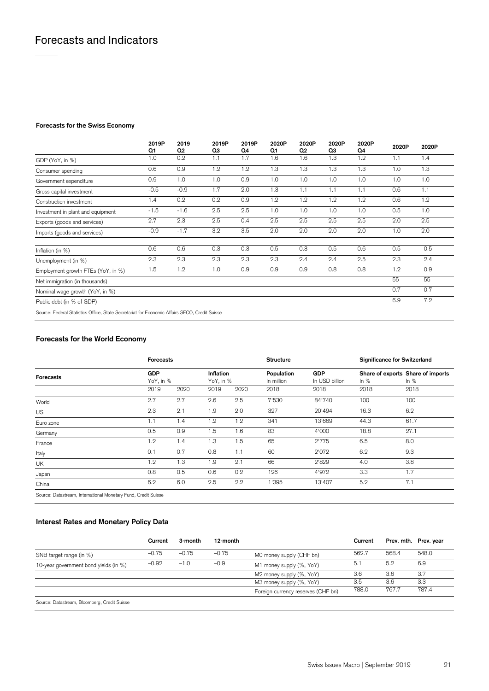### **Forecasts for the Swiss Economy**

|                                                                                               | 2019P<br>Q1 | 2019<br>Q <sub>2</sub> | 2019P<br>Q3 | 2019P<br>Q4 | 2020P<br>Q1 | 2020P<br>Q <sub>2</sub> | 2020P<br>QЗ | 2020P<br>Q4 | 2020P | 2020P |
|-----------------------------------------------------------------------------------------------|-------------|------------------------|-------------|-------------|-------------|-------------------------|-------------|-------------|-------|-------|
| GDP (YoY, in %)                                                                               | 1.0         | 0.2                    | 1.1         | 1.7         | 1.6         | 1.6                     | 1.3         | 1.2         | 1.1   | 1.4   |
| Consumer spending                                                                             | 0.6         | 0.9                    | 1.2         | 1.2         | 1.3         | 1.3                     | 1.3         | 1.3         | 1.0   | 1.3   |
| Government expenditure                                                                        | 0.9         | 1.0                    | 1.0         | 0.9         | 1.0         | 1.0                     | 1.0         | 1.0         | 1.0   | 1.0   |
| Gross capital investment                                                                      | $-0.5$      | $-0.9$                 | 1.7         | 2.0         | 1.3         | 1.1                     | 1.1         | 1.1         | 0.6   | 1.1   |
| Construction investment                                                                       | 1.4         | 0.2                    | 0.2         | 0.9         | 1.2         | 1.2                     | 1.2         | 1.2         | 0.6   | 1.2   |
| Investment in plant and equipment                                                             | $-1.5$      | $-1.6$                 | 2.5         | 2.5         | 1.0         | 1.0                     | 1.0         | 1.0         | 0.5   | 1.0   |
| Exports (goods and services)                                                                  | 2.7         | 2.3                    | 2.5         | 0.4         | 2.5         | 2.5                     | 2.5         | 2.5         | 2.0   | 2.5   |
| Imports (goods and services)                                                                  | $-0.9$      | $-1.7$                 | 3.2         | 3.5         | 2.0         | 2.0                     | 2.0         | 2.0         | 1.0   | 2.0   |
| Inflation (in %)                                                                              | 0.6         | 0.6                    | 0.3         | 0.3         | 0.5         | 0.3                     | 0.5         | 0.6         | 0.5   | 0.5   |
| Unemployment (in %)                                                                           | 2.3         | 2.3                    | 2.3         | 2.3         | 2.3         | 2.4                     | 2.4         | 2.5         | 2.3   | 2.4   |
| Employment growth FTEs (YoY, in %)                                                            | 1.5         | 1.2                    | 1.0         | 0.9         | 0.9         | 0.9                     | 0.8         | 0.8         | 1.2   | 0.9   |
| Net immigration (in thousands)                                                                |             |                        |             |             |             |                         |             |             | 55    | 55    |
| Nominal wage growth (YoY, in %)                                                               |             |                        |             |             |             |                         |             |             | 0.7   | 0.7   |
| Public debt (in % of GDP)                                                                     |             |                        |             |             |             |                         |             |             | 6.9   | 7.2   |
| Source: Federal Statistics Office, State Secretariat for Economic Affairs SECO, Credit Suisse |             |                        |             |             |             |                         |             |             |       |       |

### **Forecasts for the World Economy**

| <b>Forecasts</b> | <b>Forecasts</b> |                 |      |                        | <b>Structure</b>         |                              | <b>Significance for Switzerland</b> |                                             |  |
|------------------|------------------|-----------------|------|------------------------|--------------------------|------------------------------|-------------------------------------|---------------------------------------------|--|
|                  | GDP              | YoY, in %       |      | Inflation<br>YoY, in % | Population<br>In million | <b>GDP</b><br>In USD billion | In $%$                              | Share of exports Share of imports<br>In $%$ |  |
|                  | 2019             | 2020            | 2019 | 2020                   | 2018                     | 2018                         | 2018                                | 2018                                        |  |
| World            | 2.7              | 2.7             | 2.6  | 2.5                    | 7'530                    | 84'740                       | 100                                 | 100                                         |  |
| <b>US</b>        | 2.3              | 2.1             | 1.9  | 2.0                    | 327                      | 20'494                       | 16.3                                | 6.2                                         |  |
| Euro zone        | 1.1              | 1.4             | 1.2  | $1.2^{\circ}$          | 341                      | 13'669                       | 44.3                                | 61.7                                        |  |
| Germany          | 0.5              | 0.9             | 1.5  | 1.6                    | 83                       | 4'000                        | 18.8                                | 27.1                                        |  |
| France           | 1.2              | 1.4             | 1.3  | 1.5                    | 65                       | 2'775                        | 6.5                                 | 8.0                                         |  |
| Italy            | 0.1              | 0.7             | 0.8  | 1.1                    | 60                       | 2'072                        | 6.2                                 | 9.3                                         |  |
| UK               | 1.2              | $\overline{.3}$ | 1.9  | 2.1                    | 66                       | 2'829                        | 4.0                                 | 3.8                                         |  |
| Japan            | 0.8              | 0.5             | 0.6  | 0.2                    | 126                      | 4'972                        | 3.3                                 | 1.7                                         |  |
| China            | 6.2              | 6.0             | 2.5  | 2.2                    | 1'395                    | 13'407                       | 5.2                                 | 7.1                                         |  |

Source: Datastream, International Monetary Fund, Credit Suisse

### **Interest Rates and Monetary Policy Data**

|                                              | Current | 3-month | 12-month |                                    | Current |       | Prev. mth. Prev. year |
|----------------------------------------------|---------|---------|----------|------------------------------------|---------|-------|-----------------------|
| SNB target range (in %)                      | $-0.75$ | $-0.75$ | $-0.75$  | MO money supply (CHF bn)           | 562.7   | 568.4 | 548.0                 |
| 10-year government bond yields (in %)        | $-0.92$ | $-1.0$  | $-0.9$   | M1 money supply (%, YoY)           | 5.1     | 5.2   | 6.9                   |
|                                              |         |         |          | M2 money supply (%, YoY)           | 3.6     | 3.6   | 3.7                   |
|                                              |         |         |          | M3 money supply (%, YoY)           | 3.5     | 3.6   | 3.3                   |
|                                              |         |         |          | Foreign currency reserves (CHF bn) | 788.0   | 767.7 | 787.4                 |
| Source: Datastream, Bloomberg, Credit Suisse |         |         |          |                                    |         |       |                       |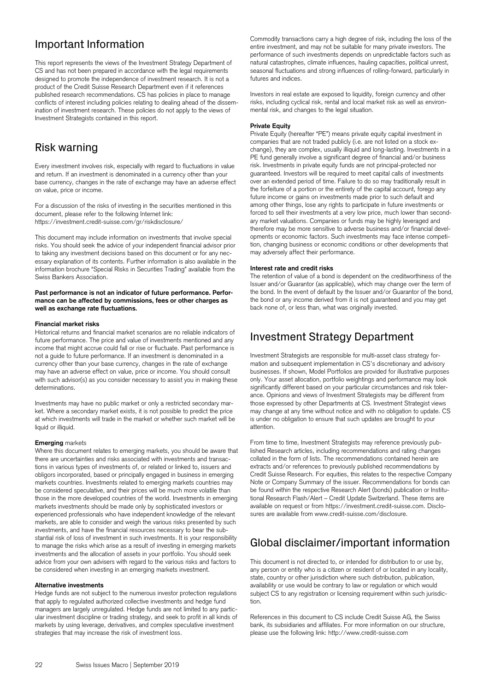# Important Information

This report represents the views of the Investment Strategy Department of CS and has not been prepared in accordance with the legal requirements designed to promote the independence of investment research. It is not a product of the Credit Suisse Research Department even if it references published research recommendations. CS has policies in place to manage conflicts of interest including policies relating to dealing ahead of the dissemination of investment research. These policies do not apply to the views of Investment Strategists contained in this report.

## Risk warning

Every investment involves risk, especially with regard to fluctuations in value and return. If an investment is denominated in a currency other than your base currency, changes in the rate of exchange may have an adverse effect on value, price or income.

For a discussion of the risks of investing in the securities mentioned in this document, please refer to the following Internet link: https://investment.credit-suisse.com/gr/riskdisclosure/

This document may include information on investments that involve special risks. You should seek the advice of your independent financial advisor prior to taking any investment decisions based on this document or for any necessary explanation of its contents. Further information is also available in the information brochure "Special Risks in Securities Trading" available from the Swiss Bankers Association.

### Past performance is not an indicator of future performance. Perfor**mance can be affected by commissions, fees or other charges as well as exchange rate fluctuations.**

### **Financial market risks**

Historical returns and financial market scenarios are no reliable indicators of future performance. The price and value of investments mentioned and any income that might accrue could fall or rise or fluctuate. Past performance is not a guide to future performance. If an investment is denominated in a currency other than your base currency, changes in the rate of exchange may have an adverse effect on value, price or income. You should consult with such advisor(s) as you consider necessary to assist you in making these determinations.

Investments may have no public market or only a restricted secondary market. Where a secondary market exists, it is not possible to predict the price at which investments will trade in the market or whether such market will be liquid or illiquid.

### **Emerging** markets

Where this document relates to emerging markets, you should be aware that there are uncertainties and risks associated with investments and transactions in various types of investments of, or related or linked to, issuers and obligors incorporated, based or principally engaged in business in emerging markets countries. Investments related to emerging markets countries may be considered speculative, and their prices will be much more volatile than those in the more developed countries of the world. Investments in emerging markets investments should be made only by sophisticated investors or experienced professionals who have independent knowledge of the relevant markets, are able to consider and weigh the various risks presented by such investments, and have the financial resources necessary to bear the substantial risk of loss of investment in such investments. It is your responsibility to manage the risks which arise as a result of investing in emerging markets investments and the allocation of assets in your portfolio. You should seek advice from your own advisers with regard to the various risks and factors to be considered when investing in an emerging markets investment.

### **Alternative investments**

Hedge funds are not subject to the numerous investor protection regulations that apply to regulated authorized collective investments and hedge fund managers are largely unregulated. Hedge funds are not limited to any particular investment discipline or trading strategy, and seek to profit in all kinds of markets by using leverage, derivatives, and complex speculative investment strategies that may increase the risk of investment loss.

Commodity transactions carry a high degree of risk, including the loss of the entire investment, and may not be suitable for many private investors. The performance of such investments depends on unpredictable factors such as natural catastrophes, climate influences, hauling capacities, political unrest, seasonal fluctuations and strong influences of rolling-forward, particularly in futures and indices.

Investors in real estate are exposed to liquidity, foreign currency and other risks, including cyclical risk, rental and local market risk as well as environmental risk, and changes to the legal situation.

### **Private Equity**

Private Equity (hereafter "PE") means private equity capital investment in companies that are not traded publicly (i.e. are not listed on a stock exchange), they are complex, usually illiquid and long-lasting. Investments in a PE fund generally involve a significant degree of financial and/or business risk. Investments in private equity funds are not principal-protected nor guaranteed. Investors will be required to meet capital calls of investments over an extended period of time. Failure to do so may traditionally result in the forfeiture of a portion or the entirety of the capital account, forego any future income or gains on investments made prior to such default and among other things, lose any rights to participate in future investments or forced to sell their investments at a very low price, much lower than secondary market valuations. Companies or funds may be highly leveraged and therefore may be more sensitive to adverse business and/or financial developments or economic factors. Such investments may face intense competition, changing business or economic conditions or other developments that may adversely affect their performance.

### **Interest rate and credit risks**

The retention of value of a bond is dependent on the creditworthiness of the Issuer and/or Guarantor (as applicable), which may change over the term of the bond. In the event of default by the Issuer and/or Guarantor of the bond, the bond or any income derived from it is not guaranteed and you may get back none of, or less than, what was originally invested.

## Investment Strategy Department

Investment Strategists are responsible for multi-asset class strategy formation and subsequent implementation in CS's discretionary and advisory businesses. If shown, Model Portfolios are provided for illustrative purposes only. Your asset allocation, portfolio weightings and performance may look significantly different based on your particular circumstances and risk tolerance. Opinions and views of Investment Strategists may be different from those expressed by other Departments at CS. Investment Strategist views may change at any time without notice and with no obligation to update. CS is under no obligation to ensure that such updates are brought to your attention.

From time to time, Investment Strategists may reference previously published Research articles, including recommendations and rating changes collated in the form of lists. The recommendations contained herein are extracts and/or references to previously published recommendations by Credit Suisse Research. For equities, this relates to the respective Company Note or Company Summary of the issuer. Recommendations for bonds can be found within the respective Research Alert (bonds) publication or Institutional Research Flash/Alert – Credit Update Switzerland. These items are available on request or from https://investment.credit-suisse.com. Disclosures are available from www.credit-suisse.com/disclosure.

# Global disclaimer/important information

This document is not directed to, or intended for distribution to or use by, any person or entity who is a citizen or resident of or located in any locality, state, country or other jurisdiction where such distribution, publication, availability or use would be contrary to law or regulation or which would subject CS to any registration or licensing requirement within such jurisdiction.

References in this document to CS include Credit Suisse AG, the Swiss bank, its subsidiaries and affiliates. For more information on our structure, please use the following link: http://www.credit-suisse.com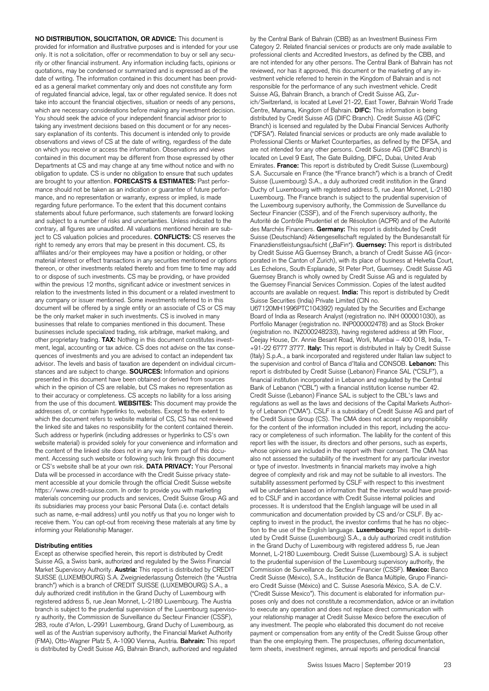**NO DISTRIBUTION, SOLICITATION, OR ADVICE:** This document is provided for information and illustrative purposes and is intended for your use only. It is not a solicitation, offer or recommendation to buy or sell any security or other financial instrument. Any information including facts, opinions or quotations, may be condensed or summarized and is expressed as of the date of writing. The information contained in this document has been provided as a general market commentary only and does not constitute any form of regulated financial advice, legal, tax or other regulated service. It does not take into account the financial objectives, situation or needs of any persons, which are necessary considerations before making any investment decision. You should seek the advice of your independent financial advisor prior to taking any investment decisions based on this document or for any necessary explanation of its contents. This document is intended only to provide observations and views of CS at the date of writing, regardless of the date on which you receive or access the information. Observations and views contained in this document may be different from those expressed by other Departments at CS and may change at any time without notice and with no obligation to update. CS is under no obligation to ensure that such updates are brought to your attention. **FORECASTS & ESTIMATES:** Past performance should not be taken as an indication or guarantee of future performance, and no representation or warranty, express or implied, is made regarding future performance. To the extent that this document contains statements about future performance, such statements are forward looking and subject to a number of risks and uncertainties. Unless indicated to the contrary, all figures are unaudited. All valuations mentioned herein are subject to CS valuation policies and procedures. **CONFLICTS:** CS reserves the right to remedy any errors that may be present in this document. CS, its affiliates and/or their employees may have a position or holding, or other material interest or effect transactions in any securities mentioned or options thereon, or other investments related thereto and from time to time may add to or dispose of such investments. CS may be providing, or have provided within the previous 12 months, significant advice or investment services in relation to the investments listed in this document or a related investment to any company or issuer mentioned. Some investments referred to in this document will be offered by a single entity or an associate of CS or CS may be the only market maker in such investments. CS is involved in many businesses that relate to companies mentioned in this document. These businesses include specialized trading, risk arbitrage, market making, and other proprietary trading. **TAX:** Nothing in this document constitutes investment, legal, accounting or tax advice. CS does not advise on the tax consequences of investments and you are advised to contact an independent tax advisor. The levels and basis of taxation are dependent on individual circumstances and are subject to change. **SOURCES:** Information and opinions presented in this document have been obtained or derived from sources which in the opinion of CS are reliable, but CS makes no representation as to their accuracy or completeness. CS accepts no liability for a loss arising from the use of this document. **WEBSITES:** This document may provide the addresses of, or contain hyperlinks to, websites. Except to the extent to which the document refers to website material of CS, CS has not reviewed the linked site and takes no responsibility for the content contained therein. Such address or hyperlink (including addresses or hyperlinks to CS's own website material) is provided solely for your convenience and information and the content of the linked site does not in any way form part of this document. Accessing such website or following such link through this document or CS's website shall be at your own risk. **DATA PRIVACY:** Your Personal Data will be processed in accordance with the Credit Suisse privacy statement accessible at your domicile through the official Credit Suisse website https://www.credit-suisse.com. In order to provide you with marketing materials concerning our products and services, Credit Suisse Group AG and its subsidiaries may process your basic Personal Data (i.e. contact details such as name, e-mail address) until you notify us that you no longer wish to receive them. You can opt-out from receiving these materials at any time by informing your Relationship Manager.

### **Distributing entities**

Except as otherwise specified herein, this report is distributed by Credit Suisse AG, a Swiss bank, authorized and regulated by the Swiss Financial Market Supervisory Authority. **Austria:** This report is distributed by CREDIT SUISSE (LUXEMBOURG) S.A. Zweigniederlassung Österreich (the "Austria branch") which is a branch of CREDIT SUISSE (LUXEMBOURG) S.A., a duly authorized credit institution in the Grand Duchy of Luxembourg with registered address 5, rue Jean Monnet, L-2180 Luxembourg. The Austria branch is subject to the prudential supervision of the Luxembourg supervisory authority, the Commission de Surveillance du Secteur Financier (CSSF), 283, route d'Arlon, L-2991 Luxembourg, Grand Duchy of Luxembourg, as well as of the Austrian supervisory authority, the Financial Market Authority (FMA), Otto-Wagner Platz 5, A-1090 Vienna, Austria. **Bahrain:** This report is distributed by Credit Suisse AG, Bahrain Branch, authorized and regulated by the Central Bank of Bahrain (CBB) as an Investment Business Firm Category 2. Related financial services or products are only made available to professional clients and Accredited Investors, as defined by the CBB, and are not intended for any other persons. The Central Bank of Bahrain has not reviewed, nor has it approved, this document or the marketing of any investment vehicle referred to herein in the Kingdom of Bahrain and is not responsible for the performance of any such investment vehicle. Credit Suisse AG, Bahrain Branch, a branch of Credit Suisse AG, Zurich/Switzerland, is located at Level 21-22, East Tower, Bahrain World Trade Centre, Manama, Kingdom of Bahrain. **DIFC:** This information is being distributed by Credit Suisse AG (DIFC Branch). Credit Suisse AG (DIFC Branch) is licensed and regulated by the Dubai Financial Services Authority ("DFSA"). Related financial services or products are only made available to Professional Clients or Market Counterparties, as defined by the DFSA, and are not intended for any other persons. Credit Suisse AG (DIFC Branch) is located on Level 9 East, The Gate Building, DIFC, Dubai, United Arab Emirates. **France:** This report is distributed by Credit Suisse (Luxembourg) S.A. Succursale en France (the "France branch") which is a branch of Credit Suisse (Luxembourg) S.A., a duly authorized credit institution in the Grand Duchy of Luxembourg with registered address 5, rue Jean Monnet, L-2180 Luxembourg. The France branch is subject to the prudential supervision of the Luxembourg supervisory authority, the Commission de Surveillance du Secteur Financier (CSSF), and of the French supervisory authority, the Autorité de Contrôle Prudentiel et de Résolution (ACPR) and of the Autorité des Marchés Financiers. **Germany:** This report is distributed by Credit Suisse (Deutschland) Aktiengesellschaft regulated by the Bundesanstalt für Finanzdienstleistungsaufsicht ("BaFin"). **Guernsey:** This report is distributed by Credit Suisse AG Guernsey Branch, a branch of Credit Suisse AG (incorporated in the Canton of Zurich), with its place of business at Helvetia Court, Les Echelons, South Esplanade, St Peter Port, Guernsey. Credit Suisse AG Guernsey Branch is wholly owned by Credit Suisse AG and is regulated by the Guernsey Financial Services Commission. Copies of the latest audited accounts are available on request. **India:** This report is distributed by Credit Suisse Securities (India) Private Limited (CIN no.

U67120MH1996PTC104392) regulated by the Securities and Exchange Board of India as Research Analyst (registration no. INH 000001030), as Portfolio Manager (registration no. INP000002478) and as Stock Broker (registration no. INZ000248233), having registered address at 9th Floor, Ceejay House, Dr. Annie Besant Road, Worli, Mumbai – 400 018, India, T- +91-22 6777 3777. **Italy:** This report is distributed in Italy by Credit Suisse (Italy) S.p.A., a bank incorporated and registered under Italian law subject to the supervision and control of Banca d'Italia and CONSOB. **Lebanon:** This report is distributed by Credit Suisse (Lebanon) Finance SAL ("CSLF"), a financial institution incorporated in Lebanon and regulated by the Central Bank of Lebanon ("CBL") with a financial institution license number 42. Credit Suisse (Lebanon) Finance SAL is subject to the CBL's laws and regulations as well as the laws and decisions of the Capital Markets Authority of Lebanon ("CMA"). CSLF is a subsidiary of Credit Suisse AG and part of the Credit Suisse Group (CS). The CMA does not accept any responsibility for the content of the information included in this report, including the accuracy or completeness of such information. The liability for the content of this report lies with the issuer, its directors and other persons, such as experts, whose opinions are included in the report with their consent. The CMA has also not assessed the suitability of the investment for any particular investor or type of investor. Investments in financial markets may involve a high degree of complexity and risk and may not be suitable to all investors. The suitability assessment performed by CSLF with respect to this investment will be undertaken based on information that the investor would have provided to CSLF and in accordance with Credit Suisse internal policies and processes. It is understood that the English language will be used in all communication and documentation provided by CS and/or CSLF. By accepting to invest in the product, the investor confirms that he has no objection to the use of the English language. **Luxembourg:** This report is distributed by Credit Suisse (Luxembourg) S.A., a duly authorized credit institution in the Grand Duchy of Luxembourg with registered address 5, rue Jean Monnet, L-2180 Luxembourg. Credit Suisse (Luxembourg) S.A. is subject to the prudential supervision of the Luxembourg supervisory authority, the Commission de Surveillance du Secteur Financier (CSSF). **Mexico:** Banco Credit Suisse (México), S.A., Institución de Banca Múltiple, Grupo Financiero Credit Suisse (México) and C. Suisse Asesoría México, S.A. de C.V. ("Credit Suisse Mexico"). This document is elaborated for information purposes only and does not constitute a recommendation, advice or an invitation to execute any operation and does not replace direct communication with your relationship manager at Credit Suisse Mexico before the execution of any investment. The people who elaborated this document do not receive payment or compensation from any entity of the Credit Suisse Group other than the one employing them. The prospectuses, offering documentation, term sheets, investment regimes, annual reports and periodical financial